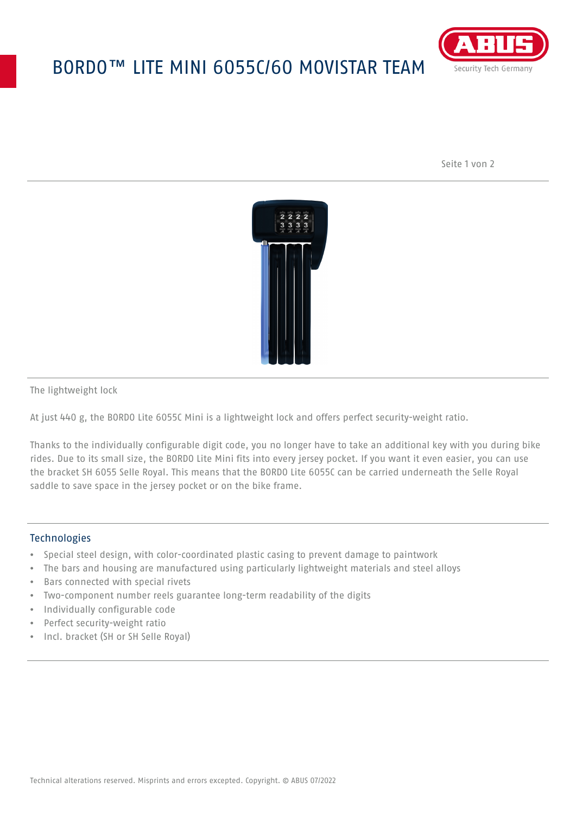## BORDO™ LITE MINI 6055C/60 MOVISTAR TEAM



Seite 1 von 2



The lightweight lock

At just 440 g, the BORDO Lite 6055C Mini is a lightweight lock and offers perfect security-weight ratio.

Thanks to the individually configurable digit code, you no longer have to take an additional key with you during bike rides. Due to its small size, the BORDO Lite Mini fits into every jersey pocket. If you want it even easier, you can use the bracket SH 6055 Selle Royal. This means that the BORDO Lite 6055C can be carried underneath the Selle Royal saddle to save space in the jersey pocket or on the bike frame.

## **Technologies**

- Special steel design, with color-coordinated plastic casing to prevent damage to paintwork
- The bars and housing are manufactured using particularly lightweight materials and steel alloys
- Bars connected with special rivets
- Two-component number reels guarantee long-term readability of the digits
- Individually configurable code
- Perfect security-weight ratio
- Incl. bracket (SH or SH Selle Royal)